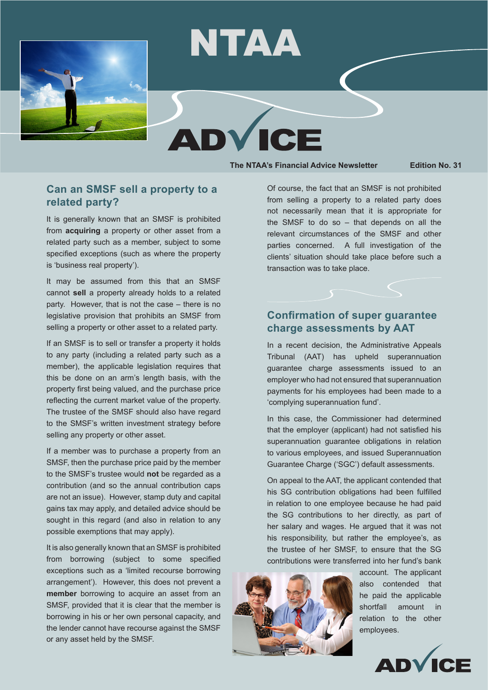

# NTAA

**The NTAA's Financial Advice Newsletter Edition No. 31**

## **Can an SMSF sell a property to a related party?**

It is generally known that an SMSF is prohibited from **acquiring** a property or other asset from a related party such as a member, subject to some specified exceptions (such as where the property is 'business real property').

It may be assumed from this that an SMSF cannot **sell** a property already holds to a related party. However, that is not the case – there is no legislative provision that prohibits an SMSF from selling a property or other asset to a related party.

If an SMSF is to sell or transfer a property it holds to any party (including a related party such as a member), the applicable legislation requires that this be done on an arm's length basis, with the property first being valued, and the purchase price reflecting the current market value of the property. The trustee of the SMSF should also have regard to the SMSF's written investment strategy before selling any property or other asset.

If a member was to purchase a property from an SMSF, then the purchase price paid by the member to the SMSF's trustee would **not** be regarded as a contribution (and so the annual contribution caps are not an issue). However, stamp duty and capital gains tax may apply, and detailed advice should be sought in this regard (and also in relation to any possible exemptions that may apply).

It is also generally known that an SMSF is prohibited from borrowing (subject to some specified exceptions such as a 'limited recourse borrowing arrangement'). However, this does not prevent a **member** borrowing to acquire an asset from an SMSF, provided that it is clear that the member is borrowing in his or her own personal capacity, and the lender cannot have recourse against the SMSF or any asset held by the SMSF.

Of course, the fact that an SMSF is not prohibited from selling a property to a related party does not necessarily mean that it is appropriate for the SMSF to do so – that depends on all the relevant circumstances of the SMSF and other parties concerned. A full investigation of the clients' situation should take place before such a transaction was to take place.

## **Confirmation of super guarantee charge assessments by AAT**

In a recent decision, the Administrative Appeals Tribunal (AAT) has upheld superannuation guarantee charge assessments issued to an employer who had not ensured that superannuation payments for his employees had been made to a 'complying superannuation fund'.

In this case, the Commissioner had determined that the employer (applicant) had not satisfied his superannuation guarantee obligations in relation to various employees, and issued Superannuation Guarantee Charge ('SGC') default assessments.

On appeal to the AAT, the applicant contended that his SG contribution obligations had been fulfilled in relation to one employee because he had paid the SG contributions to her directly, as part of her salary and wages. He argued that it was not his responsibility, but rather the employee's, as the trustee of her SMSF, to ensure that the SG contributions were transferred into her fund's bank



account. The applicant also contended that he paid the applicable shortfall amount in relation to the other employees.

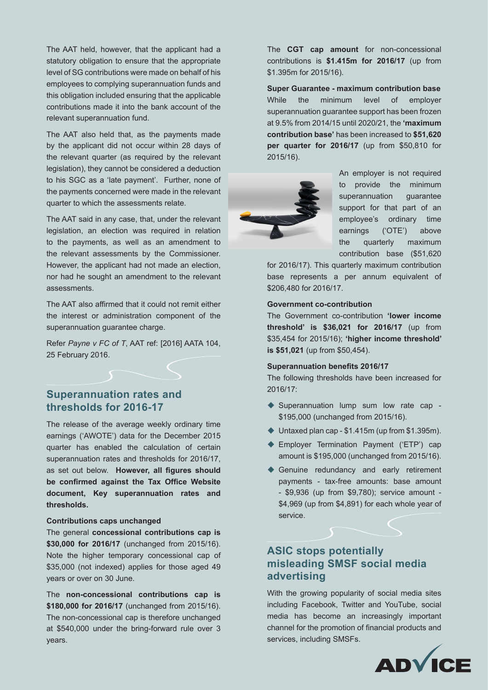The AAT held, however, that the applicant had a statutory obligation to ensure that the appropriate level of SG contributions were made on behalf of his employees to complying superannuation funds and this obligation included ensuring that the applicable contributions made it into the bank account of the relevant superannuation fund.

The AAT also held that, as the payments made by the applicant did not occur within 28 days of the relevant quarter (as required by the relevant legislation), they cannot be considered a deduction to his SGC as a 'late payment'. Further, none of the payments concerned were made in the relevant quarter to which the assessments relate.

The AAT said in any case, that, under the relevant legislation, an election was required in relation to the payments, as well as an amendment to the relevant assessments by the Commissioner. However, the applicant had not made an election, nor had he sought an amendment to the relevant assessments.

The AAT also affirmed that it could not remit either the interest or administration component of the superannuation guarantee charge.

Refer *Payne v FC of T*, AAT ref: [2016] AATA 104, 25 February 2016.

## **Superannuation rates and thresholds for 2016-17**

The release of the average weekly ordinary time earnings ('AWOTE') data for the December 2015 quarter has enabled the calculation of certain superannuation rates and thresholds for 2016/17, as set out below. **However, all figures should be confirmed against the Tax Office Website document, Key superannuation rates and thresholds.**

### **Contributions caps unchanged**

The general **concessional contributions cap is \$30,000 for 2016/17** (unchanged from 2015/16). Note the higher temporary concessional cap of \$35,000 (not indexed) applies for those aged 49 years or over on 30 June.

The **non-concessional contributions cap is \$180,000 for 2016/17** (unchanged from 2015/16). The non-concessional cap is therefore unchanged at \$540,000 under the bring-forward rule over 3 years.

The **CGT cap amount** for non-concessional contributions is **\$1.415m for 2016/17** (up from \$1.395m for 2015/16).

**Super Guarantee - maximum contribution base** While the minimum level of employer superannuation guarantee support has been frozen at 9.5% from 2014/15 until 2020/21, the **'maximum contribution base'** has been increased to **\$51,620 per quarter for 2016/17** (up from \$50,810 for 2015/16).



An employer is not required to provide the minimum superannuation guarantee support for that part of an employee's ordinary time earnings ('OTE') above the quarterly maximum contribution base (\$51,620

for 2016/17). This quarterly maximum contribution base represents a per annum equivalent of \$206,480 for 2016/17.

#### **Government co-contribution**

The Government co-contribution **'lower income threshold' is \$36,021 for 2016/17** (up from \$35,454 for 2015/16); **'higher income threshold' is \$51,021** (up from \$50,454).

#### **Superannuation benefits 2016/17**

The following thresholds have been increased for 2016/17:

- ◆ Superannuation lump sum low rate cap -\$195,000 (unchanged from 2015/16).
- $\blacklozenge$  Untaxed plan cap \$1.415m (up from \$1.395m).
- ◆ Employer Termination Payment ('ETP') cap amount is \$195,000 (unchanged from 2015/16).
- ♦ Genuine redundancy and early retirement payments - tax-free amounts: base amount - \$9,936 (up from \$9,780); service amount - \$4,969 (up from \$4,891) for each whole year of service.

## **ASIC stops potentially misleading SMSF social media advertising**

With the growing popularity of social media sites including Facebook, Twitter and YouTube, social media has become an increasingly important channel for the promotion of financial products and services, including SMSFs.